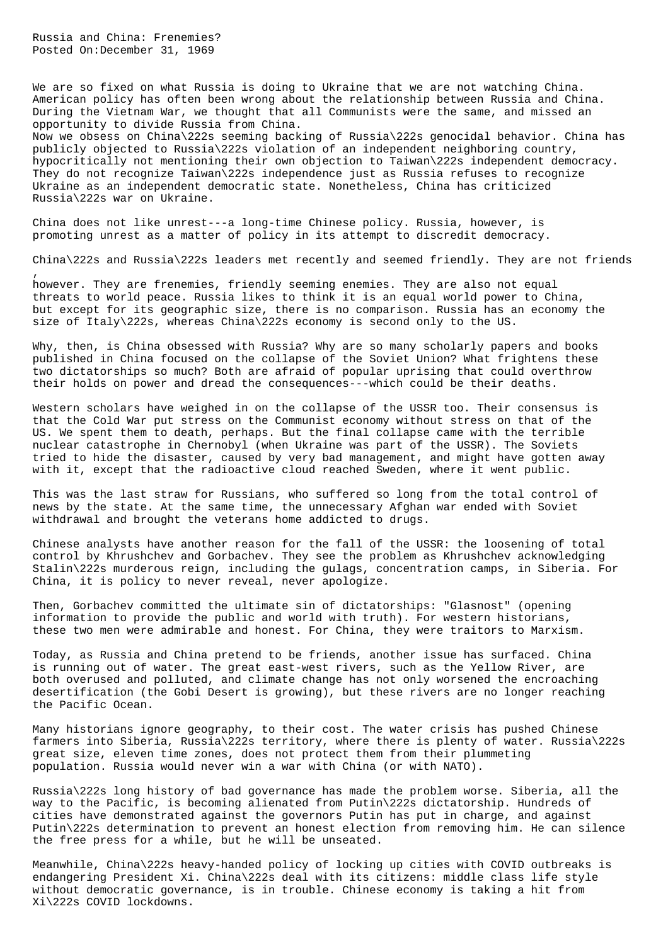Russia and China: Frenemies? Posted On:December 31, 1969

,

We are so fixed on what Russia is doing to Ukraine that we are not watching China. American policy has often been wrong about the relationship between Russia and China. During the Vietnam War, we thought that all Communists were the same, and missed an opportunity to divide Russia from China.

Now we obsess on China\222s seeming backing of Russia\222s genocidal behavior. China has publicly objected to Russia\222s violation of an independent neighboring country, hypocritically not mentioning their own objection to Taiwan\222s independent democracy. They do not recognize Taiwan\222s independence just as Russia refuses to recognize Ukraine as an independent democratic state. Nonetheless, China has criticized Russia\222s war on Ukraine.

China does not like unrest---a long-time Chinese policy. Russia, however, is promoting unrest as a matter of policy in its attempt to discredit democracy.

China\222s and Russia\222s leaders met recently and seemed friendly. They are not friends

however. They are frenemies, friendly seeming enemies. They are also not equal threats to world peace. Russia likes to think it is an equal world power to China, but except for its geographic size, there is no comparison. Russia has an economy the size of Italy\222s, whereas China\222s economy is second only to the US.

Why, then, is China obsessed with Russia? Why are so many scholarly papers and books published in China focused on the collapse of the Soviet Union? What frightens these two dictatorships so much? Both are afraid of popular uprising that could overthrow their holds on power and dread the consequences---which could be their deaths.

Western scholars have weighed in on the collapse of the USSR too. Their consensus is that the Cold War put stress on the Communist economy without stress on that of the US. We spent them to death, perhaps. But the final collapse came with the terrible nuclear catastrophe in Chernobyl (when Ukraine was part of the USSR). The Soviets tried to hide the disaster, caused by very bad management, and might have gotten away with it, except that the radioactive cloud reached Sweden, where it went public.

This was the last straw for Russians, who suffered so long from the total control of news by the state. At the same time, the unnecessary Afghan war ended with Soviet withdrawal and brought the veterans home addicted to drugs.

Chinese analysts have another reason for the fall of the USSR: the loosening of total control by Khrushchev and Gorbachev. They see the problem as Khrushchev acknowledging Stalin\222s murderous reign, including the gulags, concentration camps, in Siberia. For China, it is policy to never reveal, never apologize.

Then, Gorbachev committed the ultimate sin of dictatorships: "Glasnost" (opening information to provide the public and world with truth). For western historians, these two men were admirable and honest. For China, they were traitors to Marxism.

Today, as Russia and China pretend to be friends, another issue has surfaced. China is running out of water. The great east-west rivers, such as the Yellow River, are both overused and polluted, and climate change has not only worsened the encroaching desertification (the Gobi Desert is growing), but these rivers are no longer reaching the Pacific Ocean.

Many historians ignore geography, to their cost. The water crisis has pushed Chinese farmers into Siberia, Russia\222s territory, where there is plenty of water. Russia\222s great size, eleven time zones, does not protect them from their plummeting population. Russia would never win a war with China (or with NATO).

Russia\222s long history of bad governance has made the problem worse. Siberia, all the way to the Pacific, is becoming alienated from Putin\222s dictatorship. Hundreds of cities have demonstrated against the governors Putin has put in charge, and against Putin\222s determination to prevent an honest election from removing him. He can silence the free press for a while, but he will be unseated.

Meanwhile, China\222s heavy-handed policy of locking up cities with COVID outbreaks is endangering President Xi. China\222s deal with its citizens: middle class life style without democratic governance, is in trouble. Chinese economy is taking a hit from Xi\222s COVID lockdowns.